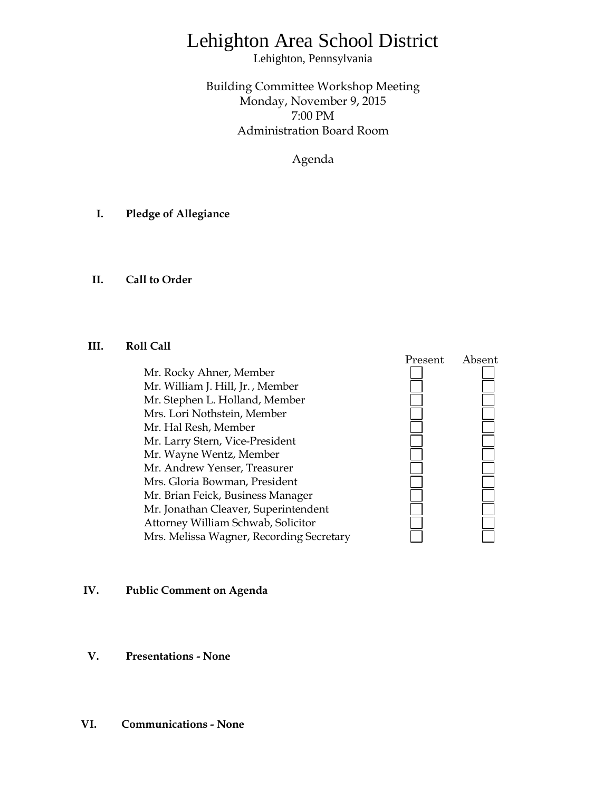# Lehighton Area School District

Lehighton, Pennsylvania

Building Committee Workshop Meeting Monday, November 9, 2015 7:00 PM Administration Board Room

Agenda

- **I. Pledge of Allegiance**
- **II. Call to Order**

## **III. Roll Call**

Mr. Rocky Ahner, Member Mr. William J. Hill, Jr. , Member Mr. Stephen L. Holland, Member Mrs. Lori Nothstein, Member Mr. Hal Resh, Member Mr. Larry Stern, Vice-President Mr. Wayne Wentz, Member Mr. Andrew Yenser, Treasurer Mrs. Gloria Bowman, President Mr. Brian Feick, Business Manager Mr. Jonathan Cleaver, Superintendent Attorney William Schwab, Solicitor Mrs. Melissa Wagner, Recording Secretary



## **IV. Public Comment on Agenda**

**V. Presentations - None**

## **VI. Communications - None**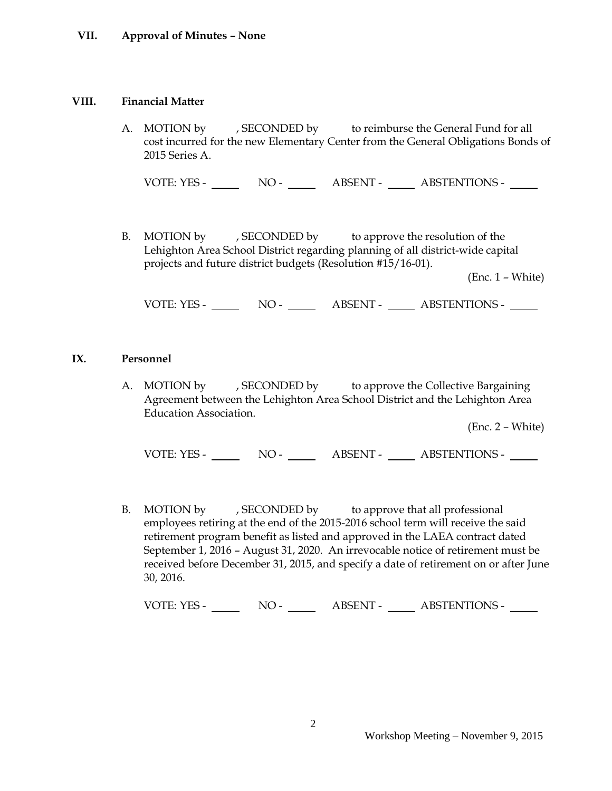## **VII. Approval of Minutes – None**

#### **VIII. Financial Matter**

A. MOTION by , SECONDED by to reimburse the General Fund for all cost incurred for the new Elementary Center from the General Obligations Bonds of 2015 Series A.

VOTE: YES - NO - ABSENT - ABSTENTIONS -

B. MOTION by , SECONDED by to approve the resolution of the Lehighton Area School District regarding planning of all district-wide capital projects and future district budgets (Resolution #15/16-01).

(Enc. 1 – White)

VOTE: YES - NO - ABSENT - ABSTENTIONS -

#### **IX. Personnel**

A. MOTION by , SECONDED by to approve the Collective Bargaining Agreement between the Lehighton Area School District and the Lehighton Area Education Association.

(Enc. 2 – White)

VOTE: YES - NO - NO - ABSENT - ABSTENTIONS -

B. MOTION by , SECONDED by to approve that all professional employees retiring at the end of the 2015-2016 school term will receive the said retirement program benefit as listed and approved in the LAEA contract dated September 1, 2016 – August 31, 2020. An irrevocable notice of retirement must be received before December 31, 2015, and specify a date of retirement on or after June 30, 2016.

VOTE: YES - NO - NO - ABSENT - ABSTENTIONS -